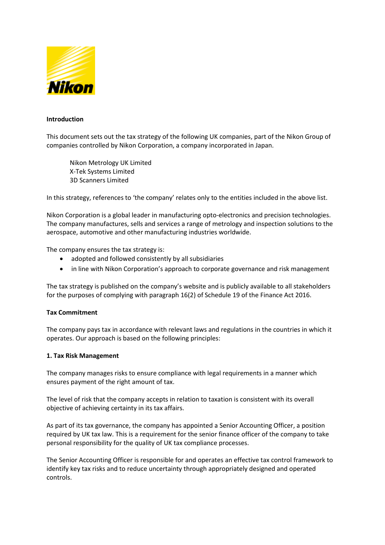

### **Introduction**

This document sets out the tax strategy of the following UK companies, part of the Nikon Group of companies controlled by Nikon Corporation, a company incorporated in Japan.

Nikon Metrology UK Limited X-Tek Systems Limited 3D Scanners Limited

In this strategy, references to 'the company' relates only to the entities included in the above list.

Nikon Corporation is a global leader in manufacturing opto-electronics and precision technologies. The company manufactures, sells and services a range of metrology and inspection solutions to the aerospace, automotive and other manufacturing industries worldwide.

The company ensures the tax strategy is:

- adopted and followed consistently by all subsidiaries
- in line with Nikon Corporation's approach to corporate governance and risk management

The tax strategy is published on the company's website and is publicly available to all stakeholders for the purposes of complying with paragraph 16(2) of Schedule 19 of the Finance Act 2016.

#### **Tax Commitment**

The company pays tax in accordance with relevant laws and regulations in the countries in which it operates. Our approach is based on the following principles:

#### **1. Tax Risk Management**

The company manages risks to ensure compliance with legal requirements in a manner which ensures payment of the right amount of tax.

The level of risk that the company accepts in relation to taxation is consistent with its overall objective of achieving certainty in its tax affairs.

As part of its tax governance, the company has appointed a Senior Accounting Officer, a position required by UK tax law. This is a requirement for the senior finance officer of the company to take personal responsibility for the quality of UK tax compliance processes.

The Senior Accounting Officer is responsible for and operates an effective tax control framework to identify key tax risks and to reduce uncertainty through appropriately designed and operated controls.